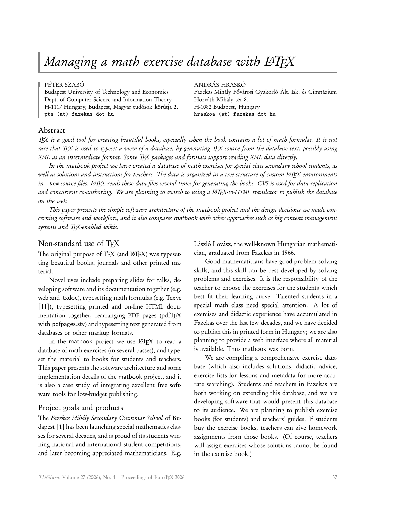# Managing a math exercise database with LATFX

Dept. of Computer Science and Information Theory Horváth Mihály tér 8. H-1117 Hungary, Budapest, Magyar tudósok körútja 2. H-1082 Budapest, Hungary pts (at) fazekas dot hu hraskoa (at) fazekas dot hu

#### PÉTER SZABÓ ANDRÁS HRASKÓ

Budapest University of Technology and Economics Fazekas Mihály Fővárosi Gyakorló Ált. Isk. és Gimnázium

# Abstract

TEX is a good tool for creating beautiful books, especially when the book contains a lot of math formulas. It is not rare that TEX is used to typeset a view of a database, by generating TEX source from the database text, possibly using XML as an intermediate format. Some TEX packages and formats support reading XML data directly.

In the matbook project we have created a database of math exercises for special class secondary school students, as well as solutions and instructions for teachers. The data is organized in a tree structure of custom L<sup>A</sup>TFX environments in *.tex* source files. LATEX reads these data files several times for generating the books. CVS is used for data replication and concurrent co-authoring. We are planning to switch to using a L<sup>A</sup>TEX-to-HTML translator to publish the database on the web.

This paper presents the simple software architecture of the matbook project and the design decisions we made concerning software and workflow, and it also compares matbook with other approaches such as big content management systems and TFX-enabled wikis.

# Non-standard use of TFX

The original purpose of TFX (and L<sup>AT</sup>FX) was typesetting beautiful books, journals and other printed material.

Novel uses include preparing slides for talks, developing software and its documentation together (e.g. web and ltxdoc), typesetting math formulas (e.g. Texvc [11]), typesetting printed and on-line HTML documentation together, rearranging PDF pages (pdfTEX with pdfpages.sty) and typesetting text generated from databases or other markup formats.

In the matbook project we use LATFX to read a database of math exercises (in several passes), and typeset the material to books for students and teachers. This paper presents the software architecture and some implementation details of the matbook project, and it is also a case study of integrating excellent free software tools for low-budget publishing.

# Project goals and products

The Fazekas Mihály Secondary Grammar School of Budapest [1] has been launching special mathematics classes for several decades, and is proud of its students winning national and international student competitions, and later becoming appreciated mathematicians. E.g. László Lovász, the well-known Hungarian mathematician, graduated from Fazekas in 1966.

Good mathematicians have good problem solving skills, and this skill can be best developed by solving problems and exercises. It is the responsibility of the teacher to choose the exercises for the students which best fit their learning curve. Talented students in a special math class need special attention. A lot of exercises and didactic experience have accumulated in Fazekas over the last few decades, and we have decided to publish this in printed form in Hungary; we are also planning to provide a web interface where all material is available. Thus matbook was born.

We are compiling a comprehensive exercise database (which also includes solutions, didactic advice, exercise lists for lessons and metadata for more accurate searching). Students and teachers in Fazekas are both working on extending this database, and we are developing software that would present this database to its audience. We are planning to publish exercise books (for students) and teachers' guides. If students buy the exercise books, teachers can give homework assignments from those books. (Of course, teachers will assign exercises whose solutions cannot be found in the exercise book.)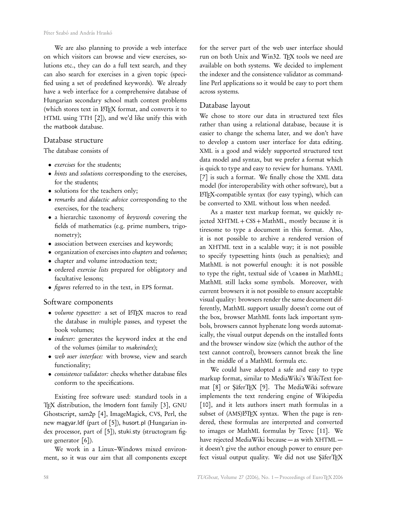We are also planning to provide a web interface on which visitors can browse and view exercises, solutions etc., they can do a full text search, and they can also search for exercises in a given topic (specified using a set of predefined keywords). We already have a web interface for a comprehensive database of Hungarian secondary school math contest problems (which stores text in LATEX format, and converts it to HTML using TTH [2]), and we'd like unify this with the matbook database.

#### Database structure

The database consists of

- exercises for the students;
- *hints* and *solutions* corresponding to the exercises, for the students;
- solutions for the teachers only;
- remarks and didactic advice corresponding to the exercises, for the teachers;
- a hierarchic taxonomy of keywords covering the fields of mathematics (e.g. prime numbers, trigonometry);
- association between exercises and keywords;
- organization of exercises into *chapters* and *volumes*;
- chapter and volume introduction text;
- ordered exercise lists prepared for obligatory and facultative lessons;
- figures referred to in the text, in EPS format.

#### Software components

- volume typesetter: a set of LATEX macros to read the database in multiple passes, and typeset the book volumes;
- indexer: generates the keyword index at the end of the volumes (similar to makeindex);
- web user interface: with browse, view and search functionality;
- consistence validator: checks whether database files conform to the specifications.

Existing free software used: standard tools in a TEX distribution, the lmodern font family [3], GNU Ghostscript, sam2p [4], ImageMagick, CVS, Perl, the new magyar.ldf (part of [5]), husort.pl (Hungarian index processor, part of [5]), stuki.sty (structogram figure generator [6]).

We work in a Linux–Windows mixed environment, so it was our aim that all components except for the server part of the web user interface should run on both Unix and Win32. TFX tools we need are available on both systems. We decided to implement the indexer and the consistence validator as commandline Perl applications so it would be easy to port them across systems.

# Database layout

We chose to store our data in structured text files rather than using a relational database, because it is easier to change the schema later, and we don't have to develop a custom user interface for data editing. XML is a good and widely supported structured text data model and syntax, but we prefer a format which is quick to type and easy to review for humans. YAML [7] is such a format. We finally chose the XML data model (for interoperability with other software), but a LATEX-compatible syntax (for easy typing), which can be converted to XML without loss when needed.

As a master text markup format, we quickly rejected XHTML + CSS + MathML, mostly because it is tiresome to type a document in this format. Also, it is not possible to archive a rendered version of an XHTML text in a scalable way; it is not possible to specify typesetting hints (such as penalties); and MathML is not powerful enough: it is not possible to type the right, textual side of \cases in MathML; MathML still lacks some symbols. Moreover, with current browsers it is not possible to ensure acceptable visual quality: browsers render the same document differently, MathML support usually doesn't come out of the box, browser MathML fonts lack important symbols, browsers cannot hyphenate long words automatically, the visual output depends on the installed fonts and the browser window size (which the author of the text cannot control), browsers cannot break the line in the middle of a MathML formula etc.

We could have adopted a safe and easy to type markup format, similar to MediaWiki's WikiText format [8] or ŞäferTEX [9]. The MediaWiki software implements the text rendering engine of Wikipedia [10], and it lets authors insert math formulas in a subset of (AMS)L<sup>AT</sup>EX syntax. When the page is rendered, these formulas are interpreted and converted to images or MathML formulas by Texvc [11]. We have rejected MediaWiki because — as with XHTML it doesn't give the author enough power to ensure perfect visual output quality. We did not use ŞäferTEX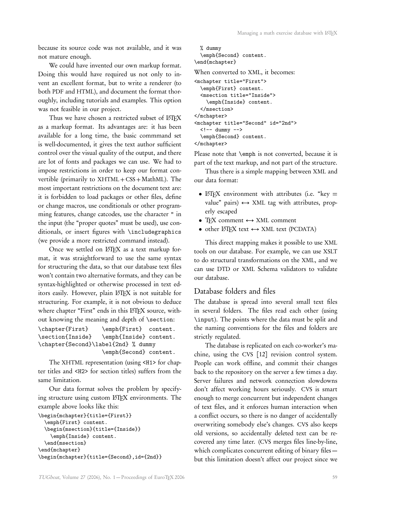because its source code was not available, and it was not mature enough.

We could have invented our own markup format. Doing this would have required us not only to invent an excellent format, but to write a renderer (to both PDF and HTML), and document the format thoroughly, including tutorials and examples. This option was not feasible in our project.

Thus we have chosen a restricted subset of LATEX as a markup format. Its advantages are: it has been available for a long time, the basic commmand set is well-documented, it gives the text author sufficient control over the visual quality of the output, and there are lot of fonts and packages we can use. We had to impose restrictions in order to keep our format convertible (primarily to  $XHTML + CSS + MathML$ ). The most important restrictions on the document text are: it is forbidden to load packages or other files, define or change macros, use conditionals or other programming features, change catcodes, use the character " in the input (the "proper quotes" must be used), use conditionals, or insert figures with \includegraphics (we provide a more restricted command instead).

Once we settled on  $L^{\text{H}}$ EX as a text markup format, it was straightforward to use the same syntax for structuring the data, so that our database text files won't contain two alternative formats, and they can be syntax-highlighted or otherwise processed in text editors easily. However, plain LATEX is not suitable for structuring. For example, it is not obvious to deduce where chapter "First" ends in this L'TFX source, without knowing the meaning and depth of \section:

```
\chapter{First} \emph{First} content.
\section{Inside} \emph{Inside} content.
\chapter{Second}\label{2nd} % dummy
                  \emph{Second} content.
```
The XHTML representation (using <H1> for chapter titles and <H2> for section titles) suffers from the same limitation.

Our data format solves the problem by specifying structure using custom LATEX environments. The example above looks like this:

```
\begin{mchapter}{title={First}}
  \emph{First} content.
  \begin{msection}{title={Inside}}
    \emph{Inside} content.
  \end{msection}
\end{mchapter}
\begin{mchapter}{title={Second},id={2nd}}
```

```
% dummy
  \emph{Second} content.
\end{mchapter}
When converted to XML, it becomes:
<mchapter title="First">
  \emph{First} content.
  <msection title="Inside">
    \emph{Inside} content.
  </msection>
</mchapter>
<mchapter title="Second" id="2nd">
  \left\langle \cdot \right\rangle -- dummy -->
  \emph{Second} content.
</mchapter>
```
Please note that **\emph** is not converted, because it is part of the text markup, and not part of the structure.

Thus there is a simple mapping between XML and our data format:

- LATFX environment with attributes (i.e. "key  $=$ value" pairs)  $\leftrightarrow$  XML tag with attributes, properly escaped
- TFX comment  $\leftrightarrow$  XML comment
- other  $L^{\text{A}}T_{\text{E}}X$  text  $\leftrightarrow$  XML text (PCDATA)

This direct mapping makes it possible to use XML tools on our database. For example, we can use XSLT to do structural transformations on the XML, and we can use DTD or XML Schema validators to validate our database.

# Database folders and files

The database is spread into several small text files in several folders. The files read each other (using \input). The points where the data must be split and the naming conventions for the files and folders are strictly regulated.

The database is replicated on each co-worker's machine, using the CVS [12] revision control system. People can work offline, and commit their changes back to the repository on the server a few times a day. Server failures and network connection slowdowns don't affect working hours seriously. CVS is smart enough to merge concurrent but independent changes of text files, and it enforces human interaction when a conflict occurs, so there is no danger of accidentally overwriting somebody else's changes. CVS also keeps old versions, so accidentally deleted text can be recovered any time later. (CVS merges files line-by-line, which complicates concurrent editing of binary files but this limitation doesn't affect our project since we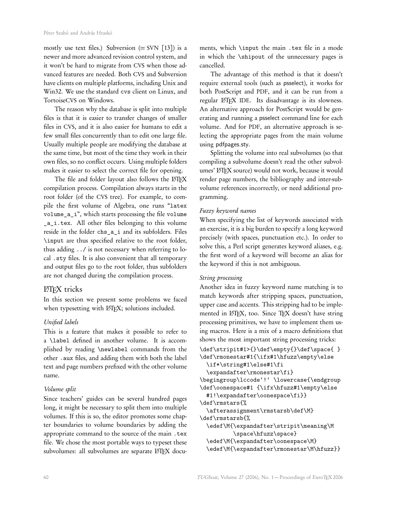mostly use text files.) Subversion  $(=$  SVN  $[13]$ ) is a newer and more advanced revision control system, and it won't be hard to migrate from CVS when those advanced features are needed. Both CVS and Subversion have clients on multiple platforms, including Unix and Win32. We use the standard cvs client on Linux, and TortoiseCVS on Windows.

The reason why the database is split into multiple files is that it is easier to transfer changes of smaller files in CVS, and it is also easier for humans to edit a few small files concurrently than to edit one large file. Usually multiple people are modifying the database at the same time, but most of the time they work in their own files, so no conflict occurs. Using multiple folders makes it easier to select the correct file for opening.

The file and folder layout also follows the LATEX compilation process. Compilation always starts in the root folder (of the CVS tree). For example, to compile the first volume of Algebra, one runs "latex volume\_a\_i", which starts processing the file volume \_a\_i.tex. All other files belonging to this volume reside in the folder chs\_a\_i and its subfolders. Files \input are thus specified relative to the root folder, thus adding ../ is not necessary when referring to local .sty files. It is also convenient that all temporary and output files go to the root folder, thus subfolders are not changed during the compilation process.

# **LATEX** tricks

In this section we present some problems we faced when typesetting with LHEX; solutions included.

#### Unified labels

This is a feature that makes it possible to refer to a \label defined in another volume. It is accomplished by reading \newlabel commands from the other .aux files, and adding them with both the label text and page numbers prefixed with the other volume name.

#### Volume split

Since teachers' guides can be several hundred pages long, it might be necessary to split them into multiple volumes. If this is so, the editor promotes some chapter boundaries to volume boundaries by adding the appropriate command to the source of the main .tex file. We chose the most portable ways to typeset these subvolumes: all subvolumes are separate LATEX documents, which \input the main .tex file in a mode in which the \shipout of the unnecessary pages is cancelled.

The advantage of this method is that it doesn't require external tools (such as psselect), it works for both PostScript and PDF, and it can be run from a regular LHEX IDE. Its disadvantage is its slowness. An alternative approach for PostScript would be generating and running a psselect command line for each volume. And for PDF, an alternative approach is selecting the appropriate pages from the main volume using pdfpages.sty.

Splitting the volume into real subvolumes (so that compiling a subvolume doesn't read the other subvolumes' LATEX source) would not work, because it would render page numbers, the bibliography and inter-subvolume references incorrectly, or need additional programming.

#### Fuzzy keyword names

When specifying the list of keywords associated with an exercise, it is a big burden to specify a long keyword precisely (with spaces, punctuation etc.). In order to solve this, a Perl script generates keyword aliases, e.g. the first word of a keyword will become an alias for the keyword if this is not ambiguous.

#### String processing

Another idea in fuzzy keyword name matching is to match keywords after stripping spaces, punctuation, upper case and accents. This stripping had to be implemented in L<sup>AT</sup>EX, too. Since TEX doesn't have string processing primitives, we have to implement them using macros. Here is a mix of a macro definitions that shows the most important string processing tricks:

\def\stripit#1>{}\def\empty{}\def\space{ } \def\rmonestar#1{\ifx#1\hfuzz\empty\else \if\*\string#1\else#1\fi

```
\expandafter\rmonestar\fi}
```
\begingroup\lccode'!' \lowercase{\endgroup \def\oonespace#1 {\ifx\hfuzz#1\empty\else

#1!\expandafter\oonespace\fi}} \def\rmstars{%

\afterassignment\rmstarsb\def\M} \def\rmstarsb{%

\edef\M{\expandafter\stripit\meaning\M \space\hfuzz\space} \edef\M{\expandafter\oonespace\M}

\edef\M{\expandafter\rmonestar\M\hfuzz}}